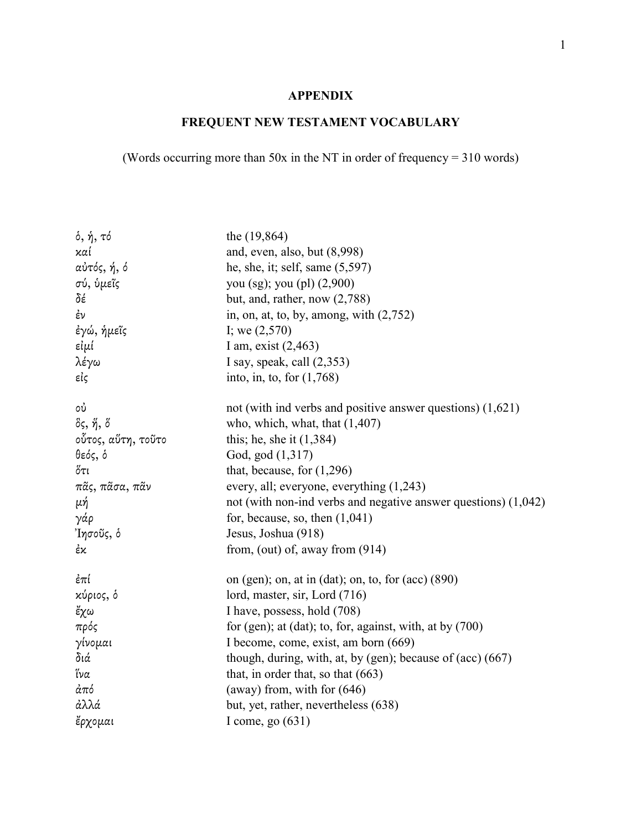## **APPENDIX**

## **FREQUENT NEW TESTAMENT VOCABULARY**

## (Words occurring more than 50x in the NT in order of frequency = 310 words)

| δ, ή, τό                | the $(19, 864)$                                                     |
|-------------------------|---------------------------------------------------------------------|
| καί                     | and, even, also, but (8,998)                                        |
| αὐτός, ή, ό             | he, she, it; self, same $(5,597)$                                   |
| σύ, ὑμεῖς               | you (sg); you (pl) (2,900)                                          |
| δέ                      | but, and, rather, now $(2,788)$                                     |
| έν                      | in, on, at, to, by, among, with $(2,752)$                           |
| έγώ, ήμεῖς              | I; we $(2,570)$                                                     |
| εἰμί                    | I am, exist $(2,463)$                                               |
| λέγω                    | I say, speak, call $(2,353)$                                        |
| εἰς                     | into, in, to, for $(1,768)$                                         |
| ού                      | not (with ind verbs and positive answer questions) $(1,621)$        |
| δς, <i>ἥ</i> , <i>ὅ</i> | who, which, what, that $(1,407)$                                    |
| οὗτος, αὕτη, τοῦτο      | this; he, she it $(1,384)$                                          |
| θεός, δ                 | God, god (1,317)                                                    |
| ὄτι                     | that, because, for $(1,296)$                                        |
| πᾶς, πᾶσα, πᾶν          | every, all; everyone, everything $(1,243)$                          |
| μή                      | not (with non-ind verbs and negative answer questions) $(1,042)$    |
| γάρ                     | for, because, so, then $(1,041)$                                    |
| Ίησοῦς, ὁ               | Jesus, Joshua (918)                                                 |
| έκ                      | from, (out) of, away from $(914)$                                   |
| ἐπί                     | on (gen); on, at in (dat); on, to, for (acc) $(890)$                |
| κύριος, δ               | lord, master, sir, Lord (716)                                       |
| ἔχω                     | I have, possess, hold (708)                                         |
| πρός                    | for (gen); at (dat); to, for, against, with, at by $(700)$          |
| γίνομαι                 | I become, come, exist, am born (669)                                |
| διά                     | though, during, with, at, by (gen); because of $(\text{acc})$ (667) |
| ἵνα                     | that, in order that, so that $(663)$                                |
| άπό                     | (away) from, with for $(646)$                                       |
| άλλά                    | but, yet, rather, nevertheless (638)                                |
| ἔρχομαι                 | I come, go $(631)$                                                  |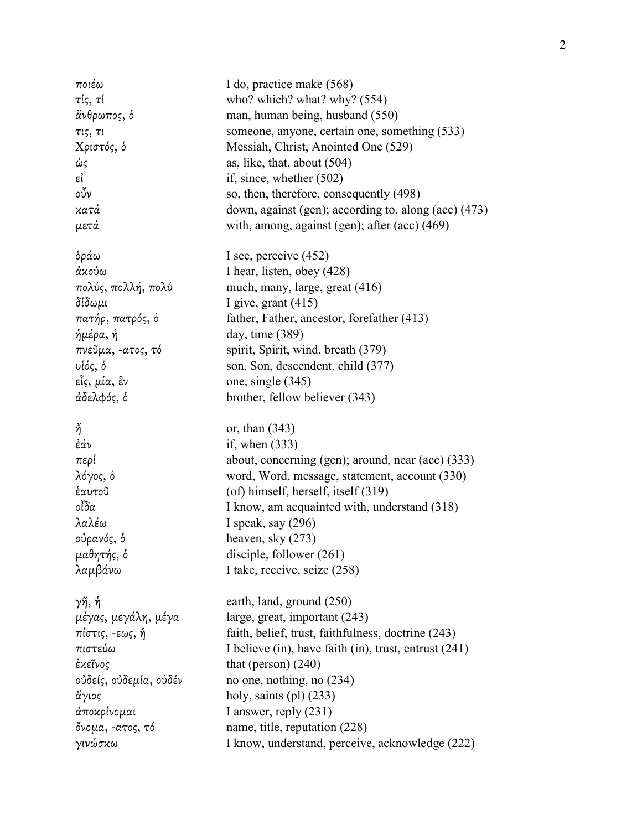| ποιέω                  | I do, practice make (568)                             |
|------------------------|-------------------------------------------------------|
| τίς, τί                | who? which? what? why? $(554)$                        |
| ἄνθρωπος, ὁ            | man, human being, husband (550)                       |
| τις, τι                | someone, anyone, certain one, something (533)         |
| Χριστός, δ             | Messiah, Christ, Anointed One (529)                   |
| ώς                     | as, like, that, about $(504)$                         |
| εί                     | if, since, whether $(502)$                            |
| οὖν                    | so, then, therefore, consequently (498)               |
| κατά                   | down, against (gen); according to, along (acc) (473)  |
| μετά                   | with, among, against (gen); after (acc) (469)         |
| δράω                   | I see, perceive $(452)$                               |
| ἀκούω                  | I hear, listen, obey (428)                            |
| πολύς, πολλή, πολύ     | much, many, large, great (416)                        |
| δίδωμι                 | I give, grant $(415)$                                 |
| πατήρ, πατρός, δ       | father, Father, ancestor, forefather (413)            |
| ήμέρα, ή               | day, time $(389)$                                     |
| πνεῦμα, -ατος, τό      | spirit, Spirit, wind, breath (379)                    |
| υἱός, ὁ                | son, Son, descendent, child (377)                     |
| εἷς, μία, ἓν           | one, single (345)                                     |
| άδελφός, δ             | brother, fellow believer (343)                        |
| ή                      | or, than $(343)$                                      |
| ἐάν                    | if, when $(333)$                                      |
| περί                   | about, concerning (gen); around, near (acc) (333)     |
| λόγος, δ               | word, Word, message, statement, account (330)         |
| ἑαυτοῦ                 | (of) himself, herself, itself (319)                   |
| οἶδα                   | I know, am acquainted with, understand (318)          |
| λαλέω                  | I speak, say (296)                                    |
| οὐρανός, ὁ             | heaven, sky (273)                                     |
| μαθητής, ὁ             | disciple, follower (261)                              |
| λαμβάνω                | I take, receive, seize (258)                          |
| γῆ, ἡ                  | earth, land, ground (250)                             |
| μέγας, μεγάλη, μέγα    | large, great, important (243)                         |
| πίστις, -εως, ή        | faith, belief, trust, faithfulness, doctrine (243)    |
| πιστεύω                | I believe (in), have faith (in), trust, entrust (241) |
| ἐκεῖνος                | that (person) $(240)$                                 |
| οὐδείς, οὐδεμία, οὐδέν | no one, nothing, no (234)                             |
| ἅγιος                  | holy, saints $(pl)$ $(233)$                           |
| ἀποκρίνομαι            | I answer, reply $(231)$                               |
| ὄνομα, -ατος, τό       | name, title, reputation (228)                         |
| γινώσκω                | I know, understand, perceive, acknowledge (222)       |
|                        |                                                       |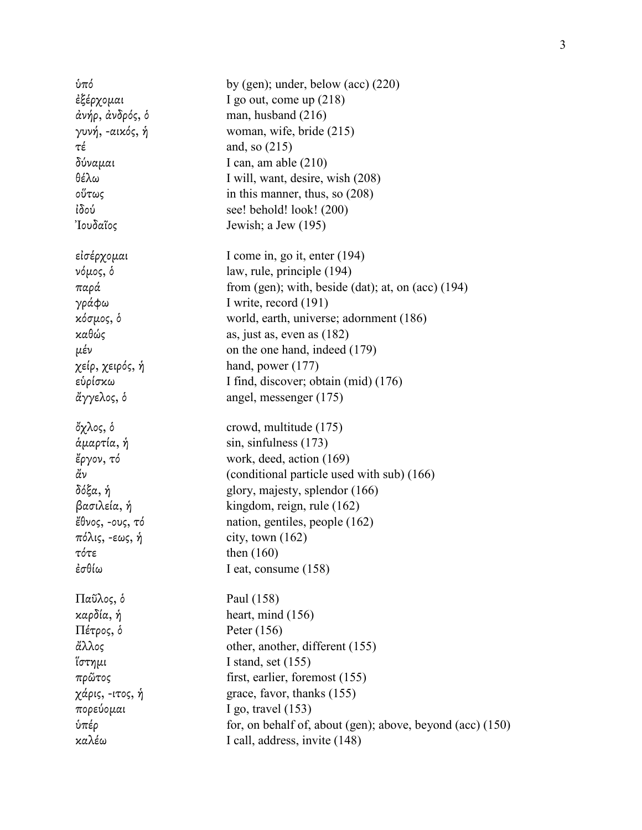| ύπό             | by (gen); under, below (acc) $(220)$                        |
|-----------------|-------------------------------------------------------------|
| ἐξέρχομαι       | I go out, come up $(218)$                                   |
| άνήρ, άνδρός, δ | man, husband $(216)$                                        |
| γυνή, -αικός, ή | woman, wife, bride (215)                                    |
| τέ              | and, so $(215)$                                             |
| δύναμαι         | I can, am able $(210)$                                      |
| θέλω            | I will, want, desire, wish (208)                            |
| οὕτως           | in this manner, thus, so $(208)$                            |
| ἰδού            | see! behold! look! (200)                                    |
| 'Ιουδαῖος       | Jewish; a Jew (195)                                         |
| εἰσέρχομαι      | I come in, go it, enter (194)                               |
| νόμος, δ        | law, rule, principle (194)                                  |
| παρά            | from (gen); with, beside (dat); at, on (acc) $(194)$        |
| γράφω           | I write, record (191)                                       |
| κόσμος, δ       | world, earth, universe; adornment (186)                     |
| καθώς           | as, just as, even as $(182)$                                |
| μέν             | on the one hand, indeed (179)                               |
| χείρ, χειρός, ή | hand, power $(177)$                                         |
| εὑρίσκω         | I find, discover; obtain (mid) (176)                        |
| ἄγγελος, δ      | angel, messenger (175)                                      |
| ὄχλος, ὁ        | crowd, multitude (175)                                      |
| άμαρτία, ή      | sin, sinfulness (173)                                       |
| έργον, τό       | work, deed, action (169)                                    |
| άν              | (conditional particle used with sub) (166)                  |
| δόξα, ή         | glory, majesty, splendor (166)                              |
| βασιλεία, ή     | kingdom, reign, rule (162)                                  |
| ἔθνος, -ους, τό | nation, gentiles, people (162)                              |
| πόλις, -εως, ή  | city, town $(162)$                                          |
| τότε            | then $(160)$                                                |
| ἐσθίω           | I eat, consume $(158)$                                      |
| Παῦλος, ὁ       | Paul (158)                                                  |
| καρδία, ή       | heart, mind $(156)$                                         |
| Πέτρος, δ       | Peter $(156)$                                               |
| ἄλλος           | other, another, different (155)                             |
| ἵστημι          | I stand, set $(155)$                                        |
| πρῶτος          | first, earlier, foremost (155)                              |
| χάρις, -ιτος, ή | grace, favor, thanks (155)                                  |
| πορεύομαι       | I go, travel $(153)$                                        |
| ύπέρ            | for, on behalf of, about (gen); above, beyond (acc) $(150)$ |
| καλέω           | I call, address, invite (148)                               |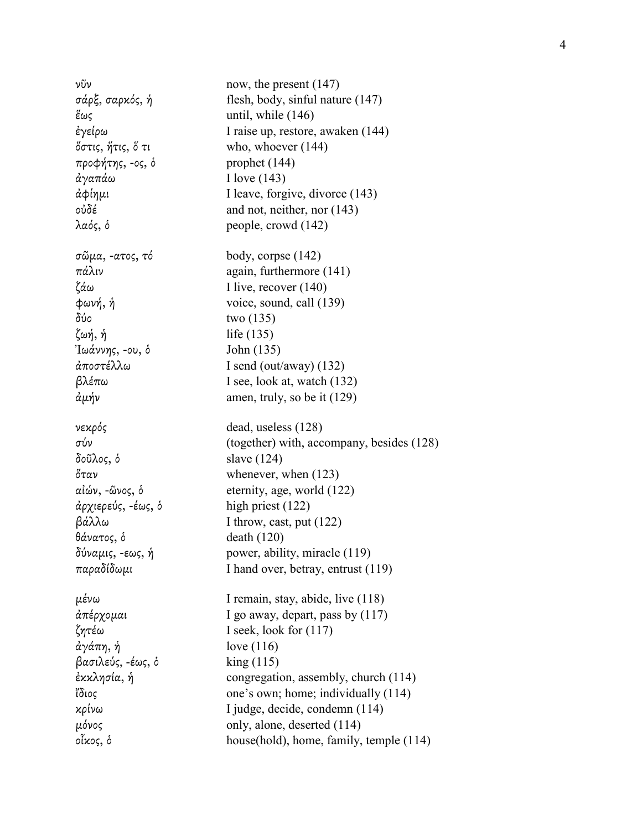νῦν now, the present (147) σάρξ, σαρκός, ἡ flesh, body, sinful nature (147)  $\frac{2}{3}$  and  $\frac{146}{3}$ ἐγείρω I raise up, restore, awaken (144) ὅστις, ἥτις, ὅ τι who, whoever (144) προφήτης, -ος, ὁ prophet (144) ἀγαπάω I love (143) ἀφίηµι I leave, forgive, divorce (143) οὐδέ and not, neither, nor (143) λαός, ὁ people, crowd (142) σῶµα, -ατος, τό body, corpse (142)  $π*α*λιν$  again, furthermore (141) ζάω I live, recover (140)  $φωνη, ή$  voice, sound, call (139)  $δ<sub>0</sub>$  two (135) ζωή, ἡ life (135) Ἰωάννης, -ου, ὁ John (135) ἀποστέλλω I send (out/away) (132) βλέπω I see, look at, watch (132)  $\dot{\alpha} \mu \dot{\gamma}$ ν amen, truly, so be it (129) νεκρός dead, useless (128) σύν (together) with, accompany, besides (128) δοῦλος, ὁ slave (124)  $\delta \tau \alpha \nu$  whenever, when (123) αἰών, -ῶνος, ὁ eternity, age, world (122) ἀρχιερεύς, -έως, ὁ high priest (122) βάλλω I throw, cast, put (122) θάνατος, ὁ death (120) δύναµις, -εως, ἡ power, ability, miracle (119) παραδίδωµι I hand over, betray, entrust (119) µένω I remain, stay, abide, live (118) ἀπέρχοµαι I go away, depart, pass by (117) ζητέω I seek, look for (117) ἀγάπη, ἡ love (116) βασιλεύς, -έως, ὁ king (115) ἐκκλησία, ἡ congregation, assembly, church (114) ἴδιος one's own; home; individually (114) κρίνω I judge, decide, condemn (114) µόνος only, alone, deserted (114) οἶκος, ὁ house(hold), home, family, temple (114)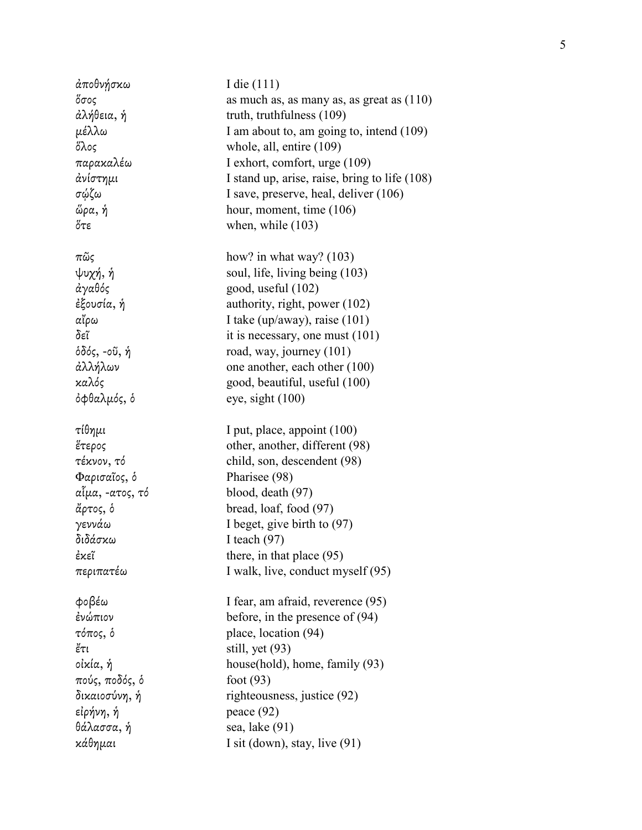| άποθνήσκω                  | I die $(111)$                                             |
|----------------------------|-----------------------------------------------------------|
| ὄσος                       | as much as, as many as, as great as $(110)$               |
| άλήθεια, ή                 | truth, truthfulness (109)                                 |
| μέλλω                      | I am about to, am going to, intend (109)                  |
| ὄλος                       | whole, all, entire (109)                                  |
| παρακαλέω                  | I exhort, comfort, urge (109)                             |
| άνίστημι                   | I stand up, arise, raise, bring to life (108)             |
| σώζω                       | I save, preserve, heal, deliver (106)                     |
| ὥρα, ή                     | hour, moment, time (106)                                  |
| $\H{\circ}\tau\varepsilon$ | when, while $(103)$                                       |
|                            |                                                           |
| πῶς                        | how? in what way? $(103)$                                 |
| ψυχή, ή                    | soul, life, living being (103)                            |
| άγαθός                     | good, useful (102)                                        |
| ἐξουσία, ή                 | authority, right, power (102)                             |
| αἴρω                       | I take (up/away), raise $(101)$                           |
| δεῖ                        | it is necessary, one must $(101)$                         |
| όδός, -οῦ, ἡ               | road, way, journey (101)                                  |
| άλλήλων                    | one another, each other (100)                             |
| καλός                      | good, beautiful, useful (100)                             |
| όφθαλμός, δ                | eye, sight $(100)$                                        |
|                            |                                                           |
|                            |                                                           |
|                            |                                                           |
| τίθημι                     | I put, place, appoint (100)                               |
| ἕτερος                     | other, another, different (98)                            |
| τέκνον, τό                 | child, son, descendent (98)                               |
| Φαρισαΐος, δ               | Pharisee (98)                                             |
| αἷμα, -ατος, τό            | blood, death (97)                                         |
| άρτος, δ                   | bread, loaf, food (97)                                    |
| γεννάω                     | I beget, give birth to (97)                               |
| διδάσκω                    | I teach $(97)$                                            |
| ἐκεῖ                       | there, in that place (95)                                 |
| περιπατέω                  | I walk, live, conduct myself (95)                         |
| φοβέω                      | I fear, am afraid, reverence (95)                         |
| ένώπιον                    |                                                           |
| τόπος, δ                   | before, in the presence of $(94)$<br>place, location (94) |
| ἔτι                        |                                                           |
| οἰκία, ή                   | still, yet (93)<br>house(hold), home, family (93)         |
| πούς, ποδός, δ             | foot $(93)$                                               |
| δικαιοσύνη, ή              |                                                           |
|                            | righteousness, justice (92)                               |
| εἰρήνη, ἡ                  | peace $(92)$                                              |
| θάλασσα, ή<br>κάθημαι      | sea, lake (91)<br>I sit (down), stay, live $(91)$         |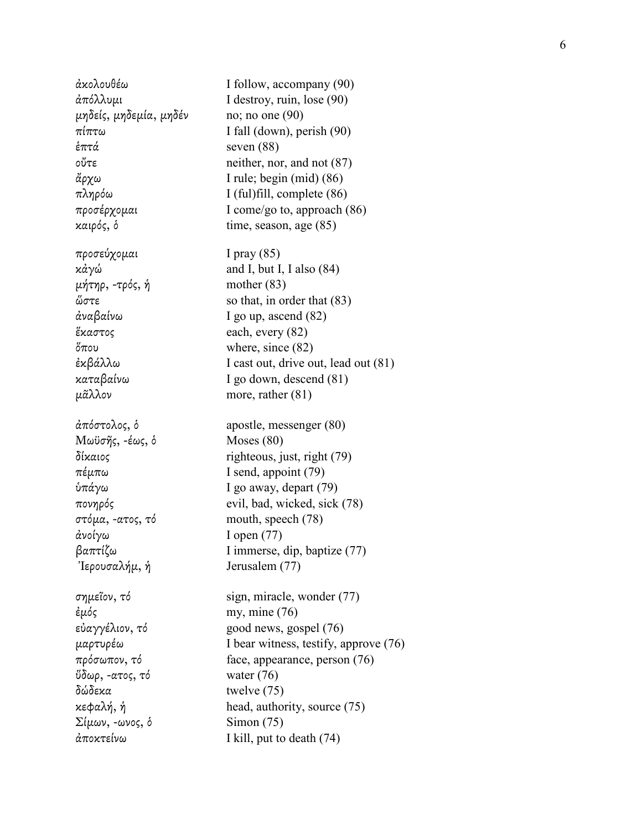ἀκολουθέω I follow, accompany (90) µηδείς, µηδεµία, µηδέν no; no one (90) ἑπτά seven (88) προσεύχοµαι I pray (85)  $\mu$ ήτηρ, -τρός, ή mother (83) ἀναβαίνω I go up, ascend (82) ἕκαστος each, every (82) ὅπου where, since (82) µᾶλλον more, rather (81) Μωϋσῆς, -έως, πέµπω I send, appoint (79) στόµα, -ατος, τό mouth, speech (78) ἀνοίγω I open (77)  $\text{Tr}(\mathbf{z} \times \mathbf{z}) = \mathbf{z} \times \mathbf{z} + \mathbf{z} \times \mathbf{z}$  Jerusalem (77)  $\frac{2}{\pi}$  eμός my, mine (76) ὕδωρ, -ατος, τό water (76) δώδεκα twelve (75)  $\Sigma$ ίμων, -ωνος, δ Simon (75)

ἀπόλλυµι I destroy, ruin, lose (90)  $\pi i \pi \tau \omega$  I fall (down), perish (90) οὔτε neither, nor, and not (87) ἄρχω I rule; begin (mid) (86) πληρόω I (ful)fill, complete (86) προσέρχοµαι I come/go to, approach (86) καιρός, ὁ time, season, age (85) κἀγώ and I, but I, I also (84) ὥστε so that, in order that (83)  $\epsilon \kappa \beta \dot{\alpha} \lambda \lambda \omega$  I cast out, drive out, lead out (81) καταβαίνω I go down, descend (81) ἀπόστολος, ὁ apostle, messenger (80)  $Moses (80)$ δίκαιος righteous, just, right (79) ὑπάγω I go away, depart (79) πονηρός evil, bad, wicked, sick (78) βαπτίζω I immerse, dip, baptize (77) σηµεῖον, τό sign, miracle, wonder (77) εὐαγγέλιον, τό good news, gospel (76) µαρτυρέω I bear witness, testify, approve (76) πρόσωπον, τό face, appearance, person (76) κεφαλή, ἡ head, authority, source (75) ἀποκτείνω I kill, put to death (74)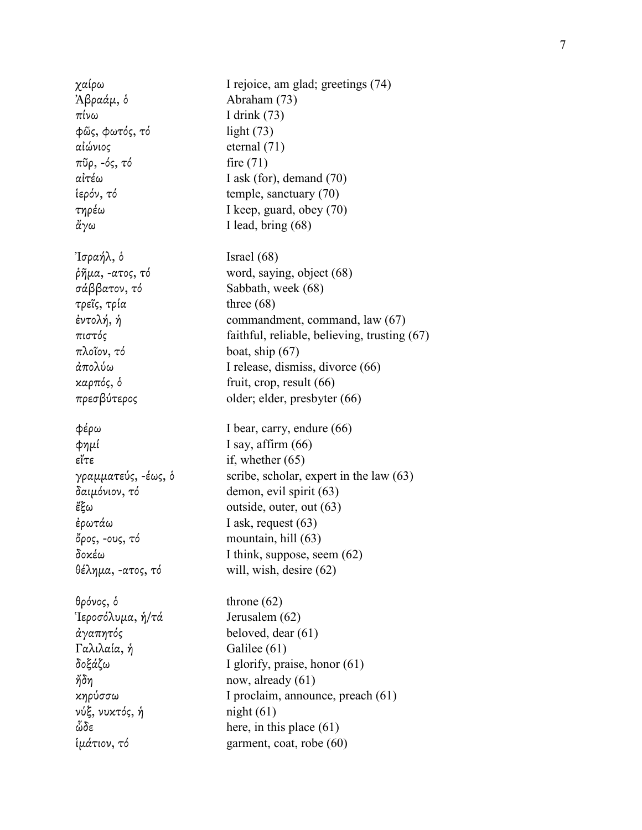χαίρω I rejoice, am glad; greetings (74)  $\lambda \beta \rho \alpha \dot{\alpha} \mu$ , δ  $A\beta \alpha \dot{\alpha} \mu$  (73) πίνω I drink (73) φῶς, φωτός, τό light (73) αἰώνιος eternal (71)  $π\tilde{\nu}\rho$ ,  $-\delta\varsigma$ ,  $\tau\delta$  fire (71) αἰτέω I ask (for), demand (70) ἱερόν, τό temple, sanctuary (70) τηρέω I keep, guard, obey (70)  $\text{d}y\omega$  I lead, bring (68)  $\text{Tr}[\text{Tr}(\alpha \phi \lambda, \delta)]$  Israel (68)  $ρ\tilde{\eta} \mu \alpha$ , -ατος, τό word, saying, object (68) σάββατον, τό Sabbath, week (68) τρεῖς, τρία three (68) ἐντολή, ἡ commandment, command, law (67) πιστός faithful, reliable, believing, trusting (67) πλοῖον, τό boat, ship (67) ἀπολύω I release, dismiss, divorce (66) καρπός, ὁ fruit, crop, result (66) πρεσβύτερος older; elder, presbyter (66) φέρω I bear, carry, endure (66)  $\phi$ ημί I say, affirm (66)  $\mathcal{E}(\mathcal{T}\mathcal{E})$  if, whether (65) γραμματεύς, -έως, δ scribe, scholar, expert in the law  $(63)$ δαιµόνιον, τό demon, evil spirit (63) ἔξω outside, outer, out (63) ἐρωτάω I ask, request (63) ὄρος, -ους, τό mountain, hill (63) δοκέω I think, suppose, seem (62) θέληµα, -ατος, τό will, wish, desire (62) θρόνος, ὁ throne (62) Ἱεροσόλυµα, ἡ/τά Jerusalem (62) ἀγαπητός beloved, dear (61) Γαλιλαία, ἡ Galilee (61) δοξάζω I glorify, praise, honor (61)  $\eta$ δη now, already (61) κηρύσσω I proclaim, announce, preach (61) νύξ, νυκτός, ἡ night (61)  $\omega \delta \epsilon$  here, in this place (61) ἱµάτιον, τό garment, coat, robe (60)